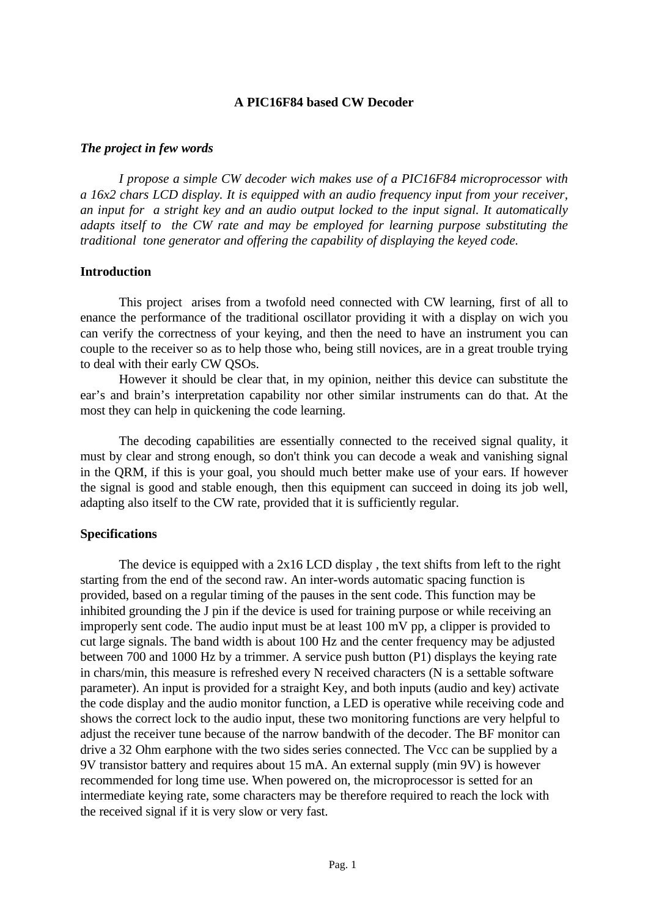### **A PIC16F84 based CW Decoder**

#### *The project in few words*

*I propose a simple CW decoder wich makes use of a PIC16F84 microprocessor with a 16x2 chars LCD display. It is equipped with an audio frequency input from your receiver, an input for a stright key and an audio output locked to the input signal. It automatically adapts itself to the CW rate and may be employed for learning purpose substituting the traditional tone generator and offering the capability of displaying the keyed code.*

#### **Introduction**

This project arises from a twofold need connected with CW learning, first of all to enance the performance of the traditional oscillator providing it with a display on wich you can verify the correctness of your keying, and then the need to have an instrument you can couple to the receiver so as to help those who, being still novices, are in a great trouble trying to deal with their early CW QSOs.

However it should be clear that, in my opinion, neither this device can substitute the ear's and brain's interpretation capability nor other similar instruments can do that. At the most they can help in quickening the code learning.

The decoding capabilities are essentially connected to the received signal quality, it must by clear and strong enough, so don't think you can decode a weak and vanishing signal in the QRM, if this is your goal, you should much better make use of your ears. If however the signal is good and stable enough, then this equipment can succeed in doing its job well, adapting also itself to the CW rate, provided that it is sufficiently regular.

#### **Specifications**

The device is equipped with a 2x16 LCD display , the text shifts from left to the right starting from the end of the second raw. An inter-words automatic spacing function is provided, based on a regular timing of the pauses in the sent code. This function may be inhibited grounding the J pin if the device is used for training purpose or while receiving an improperly sent code. The audio input must be at least 100 mV pp, a clipper is provided to cut large signals. The band width is about 100 Hz and the center frequency may be adjusted between 700 and 1000 Hz by a trimmer. A service push button (P1) displays the keying rate in chars/min, this measure is refreshed every N received characters (N is a settable software parameter). An input is provided for a straight Key, and both inputs (audio and key) activate the code display and the audio monitor function, a LED is operative while receiving code and shows the correct lock to the audio input, these two monitoring functions are very helpful to adjust the receiver tune because of the narrow bandwith of the decoder. The BF monitor can drive a 32 Ohm earphone with the two sides series connected. The Vcc can be supplied by a 9V transistor battery and requires about 15 mA. An external supply (min 9V) is however recommended for long time use. When powered on, the microprocessor is setted for an intermediate keying rate, some characters may be therefore required to reach the lock with the received signal if it is very slow or very fast.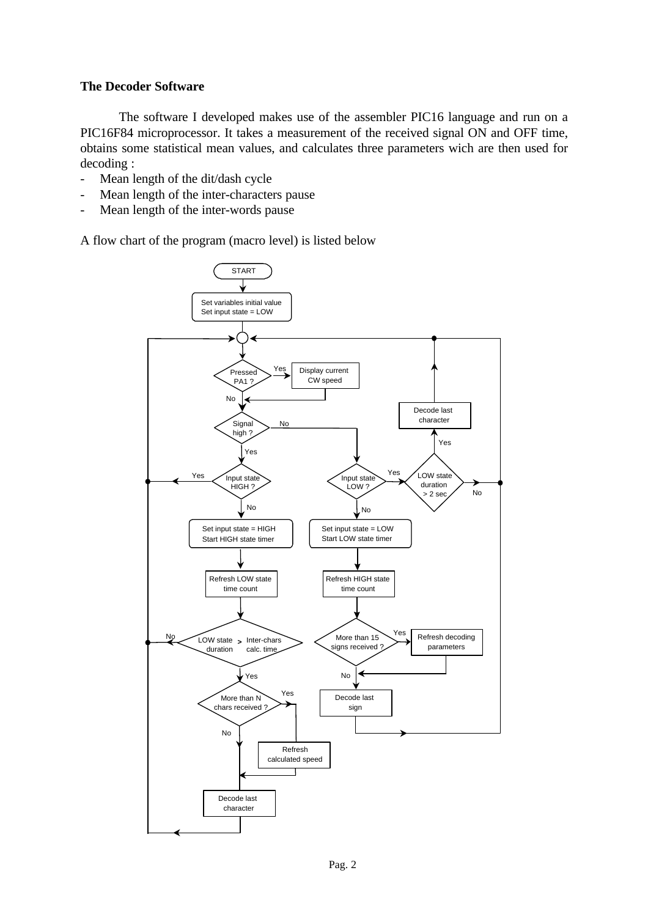### **The Decoder Software**

The software I developed makes use of the assembler PIC16 language and run on a PIC16F84 microprocessor. It takes a measurement of the received signal ON and OFF time, obtains some statistical mean values, and calculates three parameters wich are then used for decoding :

- Mean length of the dit/dash cycle
- Mean length of the inter-characters pause
- Mean length of the inter-words pause

A flow chart of the program (macro level) is listed below

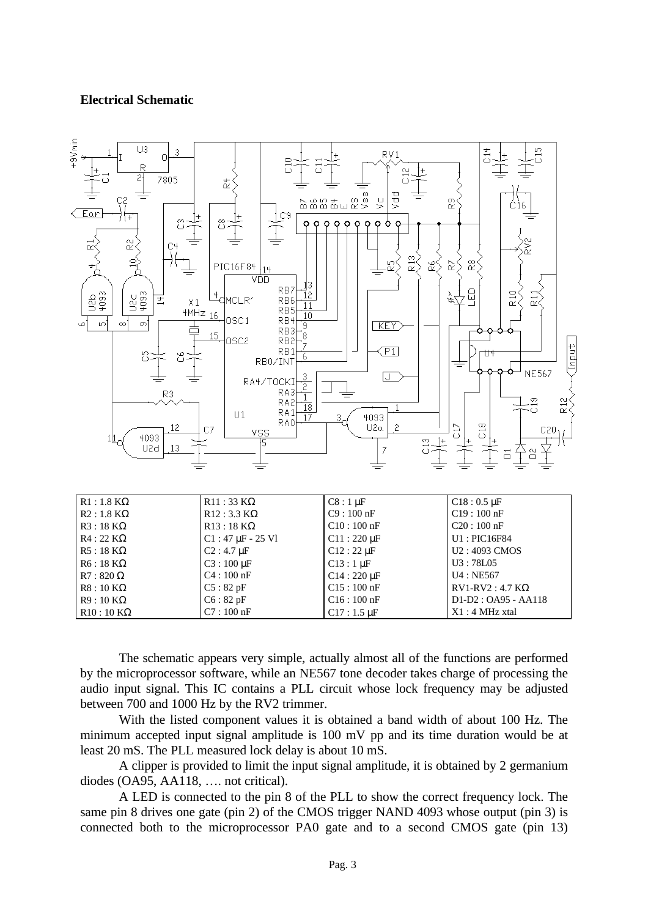### **Electrical Schematic**



| $R1:1.8 K\Omega$ | $R11:33 K\Omega$              | $C8:1 \mu F$               | $C18:0.5 \,\mu F$          |
|------------------|-------------------------------|----------------------------|----------------------------|
| $R2:1.8 K\Omega$ | $R12:3.3 K\Omega$             | $C9:100$ nF                | $C19:100$ nF               |
| $R3:18 K\Omega$  | $R13:18 K\Omega$              | $C10:100$ nF               | $C20:100$ nF               |
| $R4:22 K\Omega$  | $C1:47 \mu F - 25 \text{ V1}$ | $C11:220 \,\mu F$          | $U1$ : PIC16F84            |
| $R5:18 K\Omega$  | $C2: 4.7 \,\mu F$             | $C12:22 \mu F$             | U <sub>2</sub> : 4093 CMOS |
| $R6:18 K\Omega$  | $C3:100 \mu F$                | $C13:1 \mu F$              | U3:78L05                   |
| $R7:820 \Omega$  | $C4:100$ nF                   | $C14:220 \,\mathrm{\mu F}$ | U4 : NE567                 |
| $R8:10 K\Omega$  | C5:82pF                       | $C15:100$ nF               | $RV1-RV2: 4.7 K\Omega$     |
| $R9:10 K\Omega$  | C6:82pF                       | $C16:100$ nF               | $D1-D2: OA95 - AA118$      |
| $R10:10 K\Omega$ | $C7:100$ nF                   | $C17:1.5 \,\mu F$          | $X1:4$ MHz xtal            |

The schematic appears very simple, actually almost all of the functions are performed by the microprocessor software, while an NE567 tone decoder takes charge of processing the audio input signal. This IC contains a PLL circuit whose lock frequency may be adjusted between 700 and 1000 Hz by the RV2 trimmer.

With the listed component values it is obtained a band width of about 100 Hz. The minimum accepted input signal amplitude is 100 mV pp and its time duration would be at least 20 mS. The PLL measured lock delay is about 10 mS.

A clipper is provided to limit the input signal amplitude, it is obtained by 2 germanium diodes (OA95, AA118, …. not critical).

A LED is connected to the pin 8 of the PLL to show the correct frequency lock. The same pin 8 drives one gate (pin 2) of the CMOS trigger NAND 4093 whose output (pin 3) is connected both to the microprocessor PA0 gate and to a second CMOS gate (pin 13)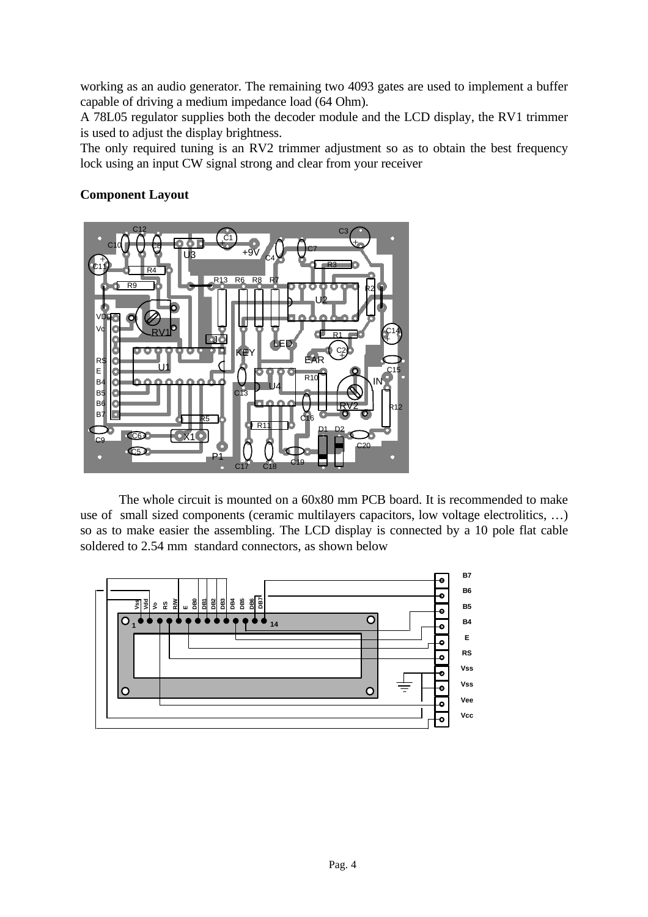working as an audio generator. The remaining two 4093 gates are used to implement a buffer capable of driving a medium impedance load (64 Ohm).

A 78L05 regulator supplies both the decoder module and the LCD display, the RV1 trimmer is used to adjust the display brightness.

The only required tuning is an RV2 trimmer adjustment so as to obtain the best frequency lock using an input CW signal strong and clear from your receiver

### **Component Layout**



The whole circuit is mounted on a 60x80 mm PCB board. It is recommended to make use of small sized components (ceramic multilayers capacitors, low voltage electrolitics, …) so as to make easier the assembling. The LCD display is connected by a 10 pole flat cable soldered to 2.54 mm standard connectors, as shown below